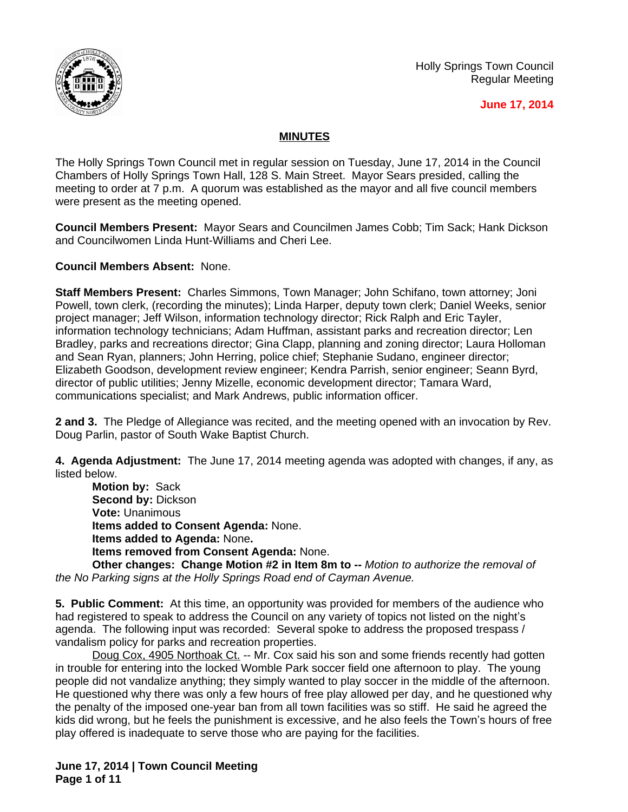

Holly Springs Town Council Regular Meeting

## **June 17, 2014**

## **MINUTES**

The Holly Springs Town Council met in regular session on Tuesday, June 17, 2014 in the Council Chambers of Holly Springs Town Hall, 128 S. Main Street. Mayor Sears presided, calling the meeting to order at 7 p.m. A quorum was established as the mayor and all five council members were present as the meeting opened.

**Council Members Present:** Mayor Sears and Councilmen James Cobb; Tim Sack; Hank Dickson and Councilwomen Linda Hunt-Williams and Cheri Lee.

**Council Members Absent:** None.

**Staff Members Present:** Charles Simmons, Town Manager; John Schifano, town attorney; Joni Powell, town clerk, (recording the minutes); Linda Harper, deputy town clerk; Daniel Weeks, senior project manager; Jeff Wilson, information technology director; Rick Ralph and Eric Tayler, information technology technicians; Adam Huffman, assistant parks and recreation director; Len Bradley, parks and recreations director; Gina Clapp, planning and zoning director; Laura Holloman and Sean Ryan, planners; John Herring, police chief; Stephanie Sudano, engineer director; Elizabeth Goodson, development review engineer; Kendra Parrish, senior engineer; Seann Byrd, director of public utilities; Jenny Mizelle, economic development director; Tamara Ward, communications specialist; and Mark Andrews, public information officer.

**2 and 3.** The Pledge of Allegiance was recited, and the meeting opened with an invocation by Rev. Doug Parlin, pastor of South Wake Baptist Church.

**4. Agenda Adjustment:** The June 17, 2014 meeting agenda was adopted with changes, if any, as listed below.

**Motion by:** Sack **Second by:** Dickson **Vote:** Unanimous **Items added to Consent Agenda:** None. **Items added to Agenda:** None**. Items removed from Consent Agenda:** None. **Other changes: Change Motion #2 in Item 8m to --** *Motion to authorize the removal of* 

*the No Parking signs at the Holly Springs Road end of Cayman Avenue.*

**5. Public Comment:** At this time, an opportunity was provided for members of the audience who had registered to speak to address the Council on any variety of topics not listed on the night's agenda. The following input was recorded: Several spoke to address the proposed trespass / vandalism policy for parks and recreation properties.

Doug Cox, 4905 Northoak Ct. -- Mr. Cox said his son and some friends recently had gotten in trouble for entering into the locked Womble Park soccer field one afternoon to play. The young people did not vandalize anything; they simply wanted to play soccer in the middle of the afternoon. He questioned why there was only a few hours of free play allowed per day, and he questioned why the penalty of the imposed one-year ban from all town facilities was so stiff. He said he agreed the kids did wrong, but he feels the punishment is excessive, and he also feels the Town's hours of free play offered is inadequate to serve those who are paying for the facilities.

**June 17, 2014 | Town Council Meeting Page 1 of 11**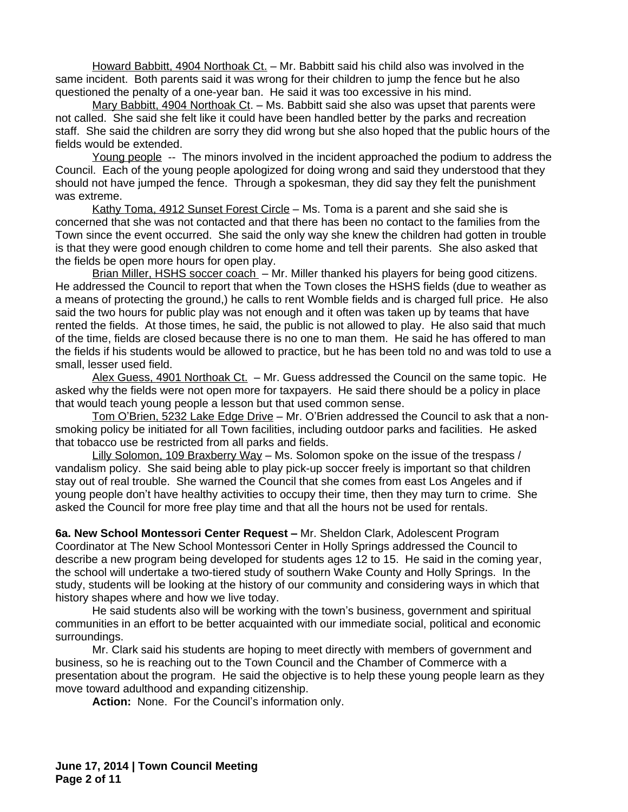Howard Babbitt, 4904 Northoak Ct. – Mr. Babbitt said his child also was involved in the same incident. Both parents said it was wrong for their children to jump the fence but he also questioned the penalty of a one-year ban. He said it was too excessive in his mind.

Mary Babbitt, 4904 Northoak Ct. – Ms. Babbitt said she also was upset that parents were not called. She said she felt like it could have been handled better by the parks and recreation staff. She said the children are sorry they did wrong but she also hoped that the public hours of the fields would be extended.

Young people -- The minors involved in the incident approached the podium to address the Council. Each of the young people apologized for doing wrong and said they understood that they should not have jumped the fence. Through a spokesman, they did say they felt the punishment was extreme.

Kathy Toma, 4912 Sunset Forest Circle – Ms. Toma is a parent and she said she is concerned that she was not contacted and that there has been no contact to the families from the Town since the event occurred. She said the only way she knew the children had gotten in trouble is that they were good enough children to come home and tell their parents. She also asked that the fields be open more hours for open play.

Brian Miller, HSHS soccer coach – Mr. Miller thanked his players for being good citizens. He addressed the Council to report that when the Town closes the HSHS fields (due to weather as a means of protecting the ground,) he calls to rent Womble fields and is charged full price. He also said the two hours for public play was not enough and it often was taken up by teams that have rented the fields. At those times, he said, the public is not allowed to play. He also said that much of the time, fields are closed because there is no one to man them. He said he has offered to man the fields if his students would be allowed to practice, but he has been told no and was told to use a small, lesser used field.

Alex Guess, 4901 Northoak Ct. - Mr. Guess addressed the Council on the same topic. He asked why the fields were not open more for taxpayers. He said there should be a policy in place that would teach young people a lesson but that used common sense.

Tom O'Brien, 5232 Lake Edge Drive – Mr. O'Brien addressed the Council to ask that a nonsmoking policy be initiated for all Town facilities, including outdoor parks and facilities. He asked that tobacco use be restricted from all parks and fields.

Lilly Solomon, 109 Braxberry Way – Ms. Solomon spoke on the issue of the trespass / vandalism policy. She said being able to play pick-up soccer freely is important so that children stay out of real trouble. She warned the Council that she comes from east Los Angeles and if young people don't have healthy activities to occupy their time, then they may turn to crime. She asked the Council for more free play time and that all the hours not be used for rentals.

**6a. New School Montessori Center Request –** Mr. Sheldon Clark, Adolescent Program Coordinator at The New School Montessori Center in Holly Springs addressed the Council to describe a new program being developed for students ages 12 to 15. He said in the coming year, the school will undertake a two-tiered study of southern Wake County and Holly Springs. In the study, students will be looking at the history of our community and considering ways in which that history shapes where and how we live today.

He said students also will be working with the town's business, government and spiritual communities in an effort to be better acquainted with our immediate social, political and economic surroundings.

Mr. Clark said his students are hoping to meet directly with members of government and business, so he is reaching out to the Town Council and the Chamber of Commerce with a presentation about the program. He said the objective is to help these young people learn as they move toward adulthood and expanding citizenship.

**Action:** None. For the Council's information only.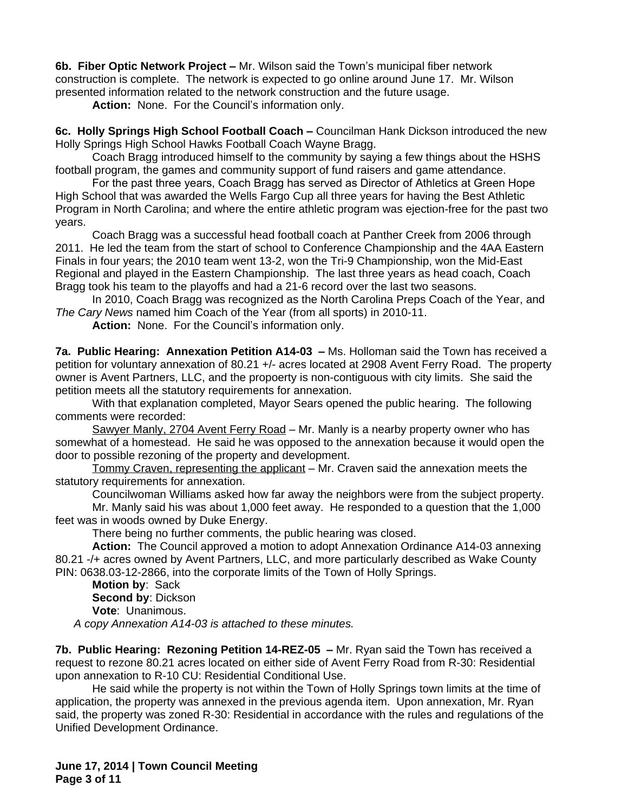**6b. Fiber Optic Network Project –** Mr. Wilson said the Town's municipal fiber network construction is complete. The network is expected to go online around June 17. Mr. Wilson presented information related to the network construction and the future usage.

**Action:** None. For the Council's information only.

**6c. Holly Springs High School Football Coach –** Councilman Hank Dickson introduced the new Holly Springs High School Hawks Football Coach Wayne Bragg.

Coach Bragg introduced himself to the community by saying a few things about the HSHS football program, the games and community support of fund raisers and game attendance.

For the past three years, Coach Bragg has served as Director of Athletics at Green Hope High School that was awarded the Wells Fargo Cup all three years for having the Best Athletic Program in North Carolina; and where the entire athletic program was ejection-free for the past two years.

Coach Bragg was a successful head football coach at Panther Creek from 2006 through 2011. He led the team from the start of school to Conference Championship and the 4AA Eastern Finals in four years; the 2010 team went 13-2, won the Tri-9 Championship, won the Mid-East Regional and played in the Eastern Championship. The last three years as head coach, Coach Bragg took his team to the playoffs and had a 21-6 record over the last two seasons.

In 2010, Coach Bragg was recognized as the North Carolina Preps Coach of the Year, and *The Cary News* named him Coach of the Year (from all sports) in 2010-11.

**Action:** None. For the Council's information only.

**7a. Public Hearing: Annexation Petition A14-03 –** Ms. Holloman said the Town has received a petition for voluntary annexation of 80.21 +/- acres located at 2908 Avent Ferry Road. The property owner is Avent Partners, LLC, and the propoerty is non-contiguous with city limits. She said the petition meets all the statutory requirements for annexation.

With that explanation completed, Mayor Sears opened the public hearing. The following comments were recorded:

Sawyer Manly, 2704 Avent Ferry Road – Mr. Manly is a nearby property owner who has somewhat of a homestead. He said he was opposed to the annexation because it would open the door to possible rezoning of the property and development.

Tommy Craven, representing the applicant - Mr. Craven said the annexation meets the statutory requirements for annexation.

Councilwoman Williams asked how far away the neighbors were from the subject property.

Mr. Manly said his was about 1,000 feet away. He responded to a question that the 1,000 feet was in woods owned by Duke Energy.

There being no further comments, the public hearing was closed.

**Action:** The Council approved a motion to adopt Annexation Ordinance A14-03 annexing 80.21 -/+ acres owned by Avent Partners, LLC, and more particularly described as Wake County PIN: 0638.03-12-2866, into the corporate limits of the Town of Holly Springs.

**Motion by**: Sack **Second by**: Dickson **Vote**: Unanimous.

*A copy Annexation A14-03 is attached to these minutes.*

**7b. Public Hearing: Rezoning Petition 14-REZ-05 –** Mr. Ryan said the Town has received a request to rezone 80.21 acres located on either side of Avent Ferry Road from R-30: Residential upon annexation to R-10 CU: Residential Conditional Use.

He said while the property is not within the Town of Holly Springs town limits at the time of application, the property was annexed in the previous agenda item. Upon annexation, Mr. Ryan said, the property was zoned R-30: Residential in accordance with the rules and regulations of the Unified Development Ordinance.

**June 17, 2014 | Town Council Meeting Page 3 of 11**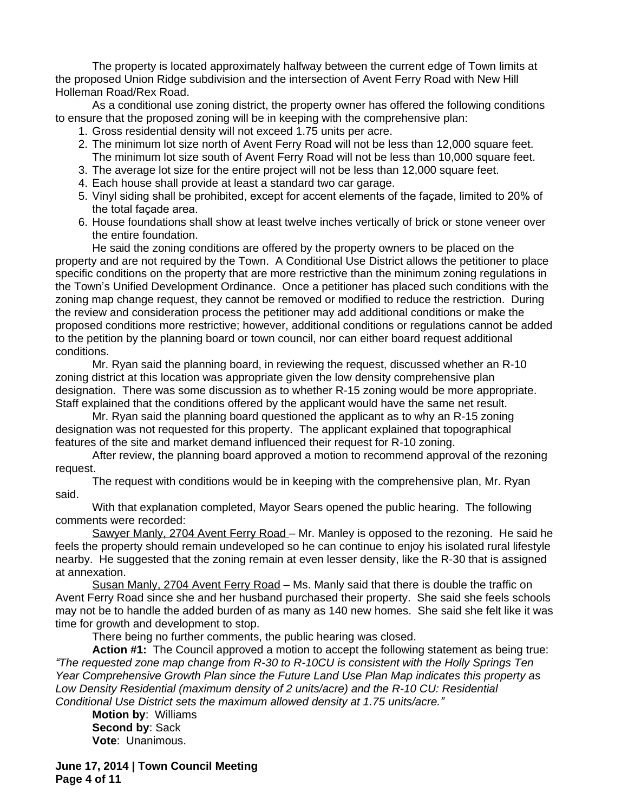The property is located approximately halfway between the current edge of Town limits at the proposed Union Ridge subdivision and the intersection of Avent Ferry Road with New Hill Holleman Road/Rex Road.

As a conditional use zoning district, the property owner has offered the following conditions to ensure that the proposed zoning will be in keeping with the comprehensive plan:

- 1. Gross residential density will not exceed 1.75 units per acre.
- 2. The minimum lot size north of Avent Ferry Road will not be less than 12,000 square feet. The minimum lot size south of Avent Ferry Road will not be less than 10,000 square feet.
- 3. The average lot size for the entire project will not be less than 12,000 square feet.
- 4. Each house shall provide at least a standard two car garage.
- 5. Vinyl siding shall be prohibited, except for accent elements of the façade, limited to 20% of the total façade area.
- 6. House foundations shall show at least twelve inches vertically of brick or stone veneer over the entire foundation.

He said the zoning conditions are offered by the property owners to be placed on the property and are not required by the Town. A Conditional Use District allows the petitioner to place specific conditions on the property that are more restrictive than the minimum zoning regulations in the Town's Unified Development Ordinance. Once a petitioner has placed such conditions with the zoning map change request, they cannot be removed or modified to reduce the restriction. During the review and consideration process the petitioner may add additional conditions or make the proposed conditions more restrictive; however, additional conditions or regulations cannot be added to the petition by the planning board or town council, nor can either board request additional conditions.

Mr. Ryan said the planning board, in reviewing the request, discussed whether an R-10 zoning district at this location was appropriate given the low density comprehensive plan designation. There was some discussion as to whether R-15 zoning would be more appropriate. Staff explained that the conditions offered by the applicant would have the same net result.

Mr. Ryan said the planning board questioned the applicant as to why an R-15 zoning designation was not requested for this property. The applicant explained that topographical features of the site and market demand influenced their request for R-10 zoning.

After review, the planning board approved a motion to recommend approval of the rezoning request.

The request with conditions would be in keeping with the comprehensive plan, Mr. Ryan said.

With that explanation completed, Mayor Sears opened the public hearing. The following comments were recorded:

Sawyer Manly, 2704 Avent Ferry Road – Mr. Manley is opposed to the rezoning. He said he feels the property should remain undeveloped so he can continue to enjoy his isolated rural lifestyle nearby. He suggested that the zoning remain at even lesser density, like the R-30 that is assigned at annexation.

Susan Manly, 2704 Avent Ferry Road – Ms. Manly said that there is double the traffic on Avent Ferry Road since she and her husband purchased their property. She said she feels schools may not be to handle the added burden of as many as 140 new homes. She said she felt like it was time for growth and development to stop.

There being no further comments, the public hearing was closed.

**Action #1:** The Council approved a motion to accept the following statement as being true: *"The requested zone map change from R-30 to R-10CU is consistent with the Holly Springs Ten Year Comprehensive Growth Plan since the Future Land Use Plan Map indicates this property as Low Density Residential (maximum density of 2 units/acre) and the R-10 CU: Residential Conditional Use District sets the maximum allowed density at 1.75 units/acre."*

**Motion by**: Williams **Second by**: Sack **Vote**: Unanimous.

**June 17, 2014 | Town Council Meeting Page 4 of 11**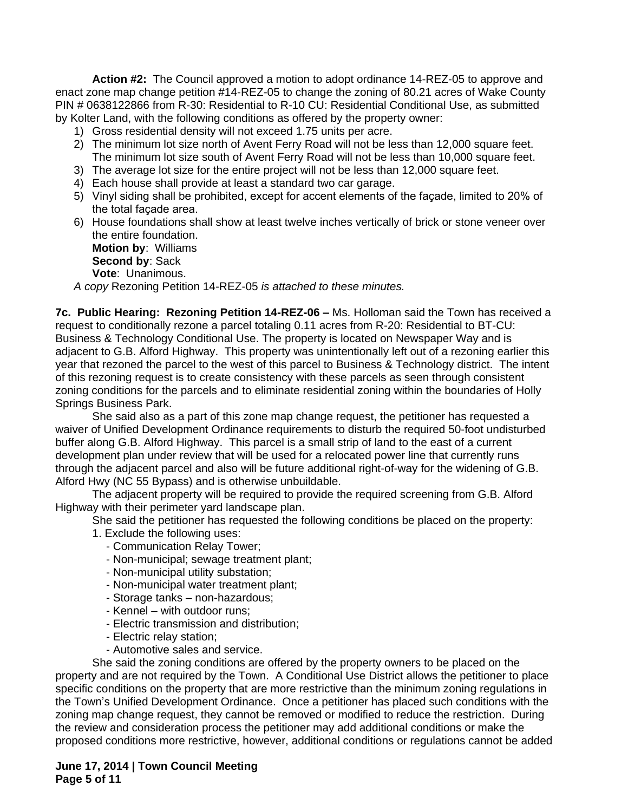**Action #2:** The Council approved a motion to adopt ordinance 14-REZ-05 to approve and enact zone map change petition #14-REZ-05 to change the zoning of 80.21 acres of Wake County PIN # 0638122866 from R-30: Residential to R-10 CU: Residential Conditional Use, as submitted by Kolter Land, with the following conditions as offered by the property owner:

- 1) Gross residential density will not exceed 1.75 units per acre.
- 2) The minimum lot size north of Avent Ferry Road will not be less than 12,000 square feet. The minimum lot size south of Avent Ferry Road will not be less than 10,000 square feet.
- 3) The average lot size for the entire project will not be less than 12,000 square feet.
- 4) Each house shall provide at least a standard two car garage.
- 5) Vinyl siding shall be prohibited, except for accent elements of the façade, limited to 20% of the total façade area.
- 6) House foundations shall show at least twelve inches vertically of brick or stone veneer over the entire foundation.

**Motion by**: Williams **Second by**: Sack

**Vote**: Unanimous.

*A copy* Rezoning Petition 14-REZ-05 *is attached to these minutes.*

**7c. Public Hearing: Rezoning Petition 14-REZ-06 –** Ms. Holloman said the Town has received a request to conditionally rezone a parcel totaling 0.11 acres from R-20: Residential to BT-CU: Business & Technology Conditional Use. The property is located on Newspaper Way and is adjacent to G.B. Alford Highway. This property was unintentionally left out of a rezoning earlier this year that rezoned the parcel to the west of this parcel to Business & Technology district. The intent of this rezoning request is to create consistency with these parcels as seen through consistent zoning conditions for the parcels and to eliminate residential zoning within the boundaries of Holly Springs Business Park.

She said also as a part of this zone map change request, the petitioner has requested a waiver of Unified Development Ordinance requirements to disturb the required 50-foot undisturbed buffer along G.B. Alford Highway. This parcel is a small strip of land to the east of a current development plan under review that will be used for a relocated power line that currently runs through the adjacent parcel and also will be future additional right-of-way for the widening of G.B. Alford Hwy (NC 55 Bypass) and is otherwise unbuildable.

The adjacent property will be required to provide the required screening from G.B. Alford Highway with their perimeter yard landscape plan.

She said the petitioner has requested the following conditions be placed on the property:

- 1. Exclude the following uses:
	- Communication Relay Tower;
	- Non-municipal; sewage treatment plant;
	- Non-municipal utility substation;
	- Non-municipal water treatment plant;
	- Storage tanks non-hazardous;
	- Kennel with outdoor runs;
	- Electric transmission and distribution;
	- Electric relay station;
	- Automotive sales and service.

She said the zoning conditions are offered by the property owners to be placed on the property and are not required by the Town. A Conditional Use District allows the petitioner to place specific conditions on the property that are more restrictive than the minimum zoning regulations in the Town's Unified Development Ordinance. Once a petitioner has placed such conditions with the zoning map change request, they cannot be removed or modified to reduce the restriction. During the review and consideration process the petitioner may add additional conditions or make the proposed conditions more restrictive, however, additional conditions or regulations cannot be added

## **June 17, 2014 | Town Council Meeting Page 5 of 11**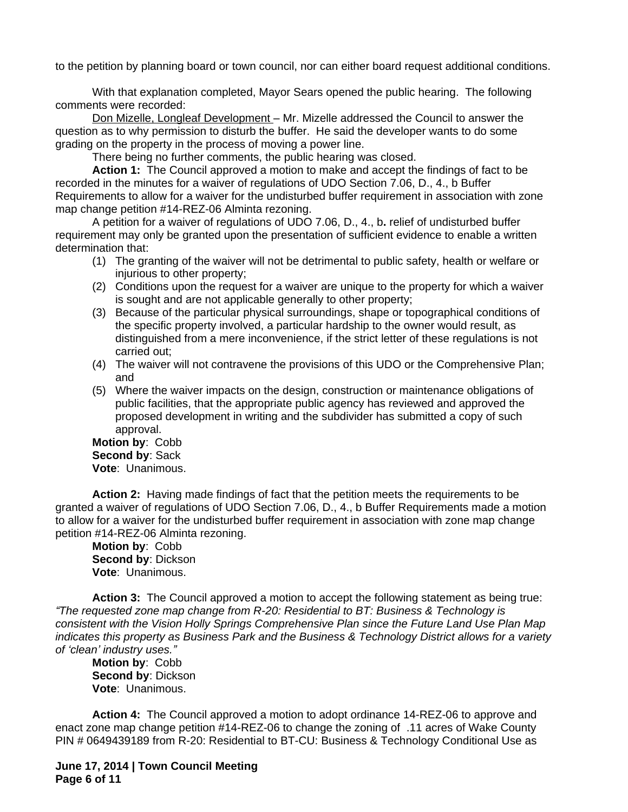to the petition by planning board or town council, nor can either board request additional conditions.

With that explanation completed, Mayor Sears opened the public hearing. The following comments were recorded:

Don Mizelle, Longleaf Development - Mr. Mizelle addressed the Council to answer the question as to why permission to disturb the buffer. He said the developer wants to do some grading on the property in the process of moving a power line.

There being no further comments, the public hearing was closed.

**Action 1:** The Council approved a motion to make and accept the findings of fact to be recorded in the minutes for a waiver of regulations of UDO Section 7.06, D., 4., b Buffer Requirements to allow for a waiver for the undisturbed buffer requirement in association with zone map change petition #14-REZ-06 Alminta rezoning.

A petition for a waiver of regulations of UDO 7.06, D., 4., b**.** relief of undisturbed buffer requirement may only be granted upon the presentation of sufficient evidence to enable a written determination that:

- (1) The granting of the waiver will not be detrimental to public safety, health or welfare or injurious to other property;
- (2) Conditions upon the request for a waiver are unique to the property for which a waiver is sought and are not applicable generally to other property;
- (3) Because of the particular physical surroundings, shape or topographical conditions of the specific property involved, a particular hardship to the owner would result, as distinguished from a mere inconvenience, if the strict letter of these regulations is not carried out;
- (4) The waiver will not contravene the provisions of this UDO or the Comprehensive Plan; and
- (5) Where the waiver impacts on the design, construction or maintenance obligations of public facilities, that the appropriate public agency has reviewed and approved the proposed development in writing and the subdivider has submitted a copy of such approval.

**Motion by**: Cobb **Second by**: Sack **Vote**: Unanimous.

**Action 2:** Having made findings of fact that the petition meets the requirements to be granted a waiver of regulations of UDO Section 7.06, D., 4., b Buffer Requirements made a motion to allow for a waiver for the undisturbed buffer requirement in association with zone map change petition #14-REZ-06 Alminta rezoning.

**Motion by**: Cobb **Second by**: Dickson **Vote**: Unanimous.

**Action 3:** The Council approved a motion to accept the following statement as being true: *"The requested zone map change from R-20: Residential to BT: Business & Technology is consistent with the Vision Holly Springs Comprehensive Plan since the Future Land Use Plan Map indicates this property as Business Park and the Business & Technology District allows for a variety of 'clean' industry uses."*

**Motion by**: Cobb **Second by**: Dickson **Vote**: Unanimous.

**Action 4:** The Council approved a motion to adopt ordinance 14-REZ-06 to approve and enact zone map change petition #14-REZ-06 to change the zoning of .11 acres of Wake County PIN # 0649439189 from R-20: Residential to BT-CU: Business & Technology Conditional Use as

**June 17, 2014 | Town Council Meeting Page 6 of 11**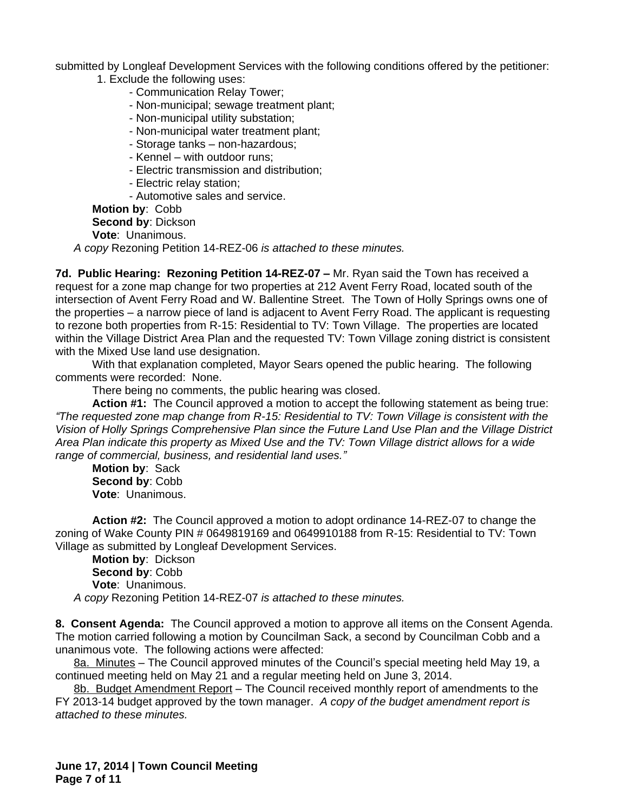submitted by Longleaf Development Services with the following conditions offered by the petitioner:

- 1. Exclude the following uses:
	- Communication Relay Tower;
	- Non-municipal; sewage treatment plant;
	- Non-municipal utility substation;
	- Non-municipal water treatment plant;
	- Storage tanks non-hazardous;
	- Kennel with outdoor runs;
	- Electric transmission and distribution;
	- Electric relay station;
	- Automotive sales and service.

**Motion by**: Cobb

**Second by**: Dickson

**Vote**: Unanimous.

*A copy* Rezoning Petition 14-REZ-06 *is attached to these minutes.*

**7d. Public Hearing: Rezoning Petition 14-REZ-07 –** Mr. Ryan said the Town has received a request for a zone map change for two properties at 212 Avent Ferry Road, located south of the intersection of Avent Ferry Road and W. Ballentine Street. The Town of Holly Springs owns one of the properties – a narrow piece of land is adjacent to Avent Ferry Road. The applicant is requesting to rezone both properties from R-15: Residential to TV: Town Village. The properties are located within the Village District Area Plan and the requested TV: Town Village zoning district is consistent with the Mixed Use land use designation.

With that explanation completed, Mayor Sears opened the public hearing. The following comments were recorded: None.

There being no comments, the public hearing was closed.

**Action #1:** The Council approved a motion to accept the following statement as being true: *"The requested zone map change from R-15: Residential to TV: Town Village is consistent with the Vision of Holly Springs Comprehensive Plan since the Future Land Use Plan and the Village District Area Plan indicate this property as Mixed Use and the TV: Town Village district allows for a wide range of commercial, business, and residential land uses."*

**Motion by**: Sack **Second by**: Cobb **Vote**: Unanimous.

**Action #2:** The Council approved a motion to adopt ordinance 14-REZ-07 to change the zoning of Wake County PIN # 0649819169 and 0649910188 from R-15: Residential to TV: Town Village as submitted by Longleaf Development Services.

**Motion by**: Dickson **Second by**: Cobb **Vote**: Unanimous.

*A copy* Rezoning Petition 14-REZ-07 *is attached to these minutes.*

**8. Consent Agenda:** The Council approved a motion to approve all items on the Consent Agenda. The motion carried following a motion by Councilman Sack, a second by Councilman Cobb and a unanimous vote. The following actions were affected:

8a. Minutes – The Council approved minutes of the Council's special meeting held May 19, a continued meeting held on May 21 and a regular meeting held on June 3, 2014.

8b. Budget Amendment Report – The Council received monthly report of amendments to the FY 2013-14 budget approved by the town manager. *A copy of the budget amendment report is attached to these minutes.*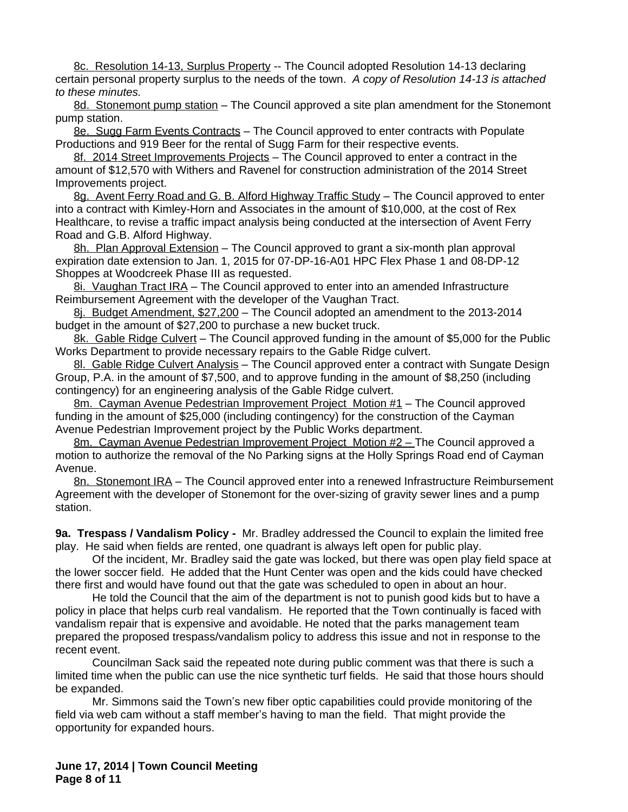8c. Resolution 14-13, Surplus Property -- The Council adopted Resolution 14-13 declaring certain personal property surplus to the needs of the town. *A copy of Resolution 14-13 is attached to these minutes.*

8d. Stonemont pump station – The Council approved a site plan amendment for the Stonemont pump station.

8e. Sugg Farm Events Contracts - The Council approved to enter contracts with Populate Productions and 919 Beer for the rental of Sugg Farm for their respective events.

8f. 2014 Street Improvements Projects - The Council approved to enter a contract in the amount of \$12,570 with Withers and Ravenel for construction administration of the 2014 Street Improvements project.

8g. Avent Ferry Road and G. B. Alford Highway Traffic Study - The Council approved to enter into a contract with Kimley-Horn and Associates in the amount of \$10,000, at the cost of Rex Healthcare, to revise a traffic impact analysis being conducted at the intersection of Avent Ferry Road and G.B. Alford Highway.

8h. Plan Approval Extension – The Council approved to grant a six-month plan approval expiration date extension to Jan. 1, 2015 for 07-DP-16-A01 HPC Flex Phase 1 and 08-DP-12 Shoppes at Woodcreek Phase III as requested.

8i. Vaughan Tract IRA - The Council approved to enter into an amended Infrastructure Reimbursement Agreement with the developer of the Vaughan Tract.

8j. Budget Amendment, \$27,200 – The Council adopted an amendment to the 2013-2014 budget in the amount of \$27,200 to purchase a new bucket truck.

8k. Gable Ridge Culvert - The Council approved funding in the amount of \$5,000 for the Public Works Department to provide necessary repairs to the Gable Ridge culvert.

8l. Gable Ridge Culvert Analysis – The Council approved enter a contract with Sungate Design Group, P.A. in the amount of \$7,500, and to approve funding in the amount of \$8,250 (including contingency) for an engineering analysis of the Gable Ridge culvert.

8m. Cayman Avenue Pedestrian Improvement Project Motion #1 – The Council approved funding in the amount of \$25,000 (including contingency) for the construction of the Cayman Avenue Pedestrian Improvement project by the Public Works department.

8m. Cayman Avenue Pedestrian Improvement Project Motion #2 – The Council approved a motion to authorize the removal of the No Parking signs at the Holly Springs Road end of Cayman Avenue.

8n. Stonemont IRA – The Council approved enter into a renewed Infrastructure Reimbursement Agreement with the developer of Stonemont for the over-sizing of gravity sewer lines and a pump station.

**9a. Trespass / Vandalism Policy -** Mr. Bradley addressed the Council to explain the limited free play. He said when fields are rented, one quadrant is always left open for public play.

Of the incident, Mr. Bradley said the gate was locked, but there was open play field space at the lower soccer field. He added that the Hunt Center was open and the kids could have checked there first and would have found out that the gate was scheduled to open in about an hour.

He told the Council that the aim of the department is not to punish good kids but to have a policy in place that helps curb real vandalism. He reported that the Town continually is faced with vandalism repair that is expensive and avoidable. He noted that the parks management team prepared the proposed trespass/vandalism policy to address this issue and not in response to the recent event.

Councilman Sack said the repeated note during public comment was that there is such a limited time when the public can use the nice synthetic turf fields. He said that those hours should be expanded.

Mr. Simmons said the Town's new fiber optic capabilities could provide monitoring of the field via web cam without a staff member's having to man the field. That might provide the opportunity for expanded hours.

**June 17, 2014 | Town Council Meeting Page 8 of 11**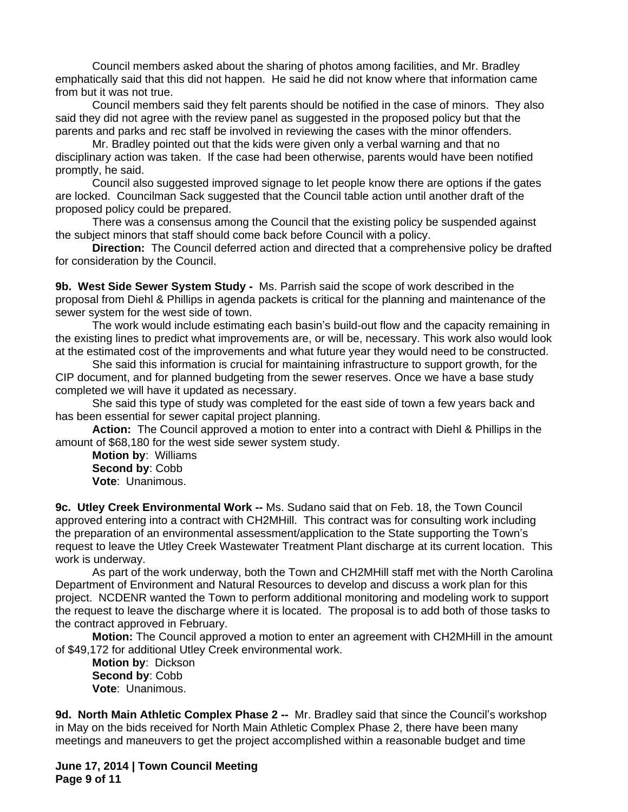Council members asked about the sharing of photos among facilities, and Mr. Bradley emphatically said that this did not happen. He said he did not know where that information came from but it was not true.

Council members said they felt parents should be notified in the case of minors. They also said they did not agree with the review panel as suggested in the proposed policy but that the parents and parks and rec staff be involved in reviewing the cases with the minor offenders.

Mr. Bradley pointed out that the kids were given only a verbal warning and that no disciplinary action was taken. If the case had been otherwise, parents would have been notified promptly, he said.

Council also suggested improved signage to let people know there are options if the gates are locked. Councilman Sack suggested that the Council table action until another draft of the proposed policy could be prepared.

There was a consensus among the Council that the existing policy be suspended against the subject minors that staff should come back before Council with a policy.

**Direction:** The Council deferred action and directed that a comprehensive policy be drafted for consideration by the Council.

**9b. West Side Sewer System Study -** Ms. Parrish said the scope of work described in the proposal from Diehl & Phillips in agenda packets is critical for the planning and maintenance of the sewer system for the west side of town.

The work would include estimating each basin's build-out flow and the capacity remaining in the existing lines to predict what improvements are, or will be, necessary. This work also would look at the estimated cost of the improvements and what future year they would need to be constructed.

She said this information is crucial for maintaining infrastructure to support growth, for the CIP document, and for planned budgeting from the sewer reserves. Once we have a base study completed we will have it updated as necessary.

She said this type of study was completed for the east side of town a few years back and has been essential for sewer capital project planning.

**Action:** The Council approved a motion to enter into a contract with Diehl & Phillips in the amount of \$68,180 for the west side sewer system study.

**Motion by**: Williams **Second by**: Cobb **Vote**: Unanimous.

**9c. Utley Creek Environmental Work --** Ms. Sudano said that on Feb. 18, the Town Council approved entering into a contract with CH2MHill. This contract was for consulting work including the preparation of an environmental assessment/application to the State supporting the Town's request to leave the Utley Creek Wastewater Treatment Plant discharge at its current location. This work is underway.

As part of the work underway, both the Town and CH2MHill staff met with the North Carolina Department of Environment and Natural Resources to develop and discuss a work plan for this project. NCDENR wanted the Town to perform additional monitoring and modeling work to support the request to leave the discharge where it is located. The proposal is to add both of those tasks to the contract approved in February.

**Motion:** The Council approved a motion to enter an agreement with CH2MHill in the amount of \$49,172 for additional Utley Creek environmental work.

**Motion by**: Dickson **Second by**: Cobb **Vote**: Unanimous.

**9d. North Main Athletic Complex Phase 2 --** Mr. Bradley said that since the Council's workshop in May on the bids received for North Main Athletic Complex Phase 2, there have been many meetings and maneuvers to get the project accomplished within a reasonable budget and time

**June 17, 2014 | Town Council Meeting Page 9 of 11**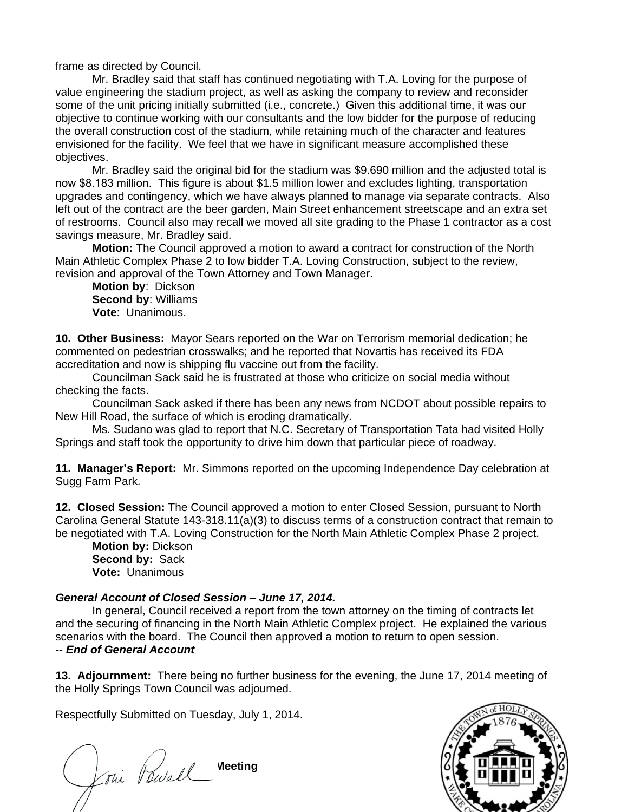frame as directed by Council.

Mr. Bradley said that staff has continued negotiating with T.A. Loving for the purpose of value engineering the stadium project, as well as asking the company to review and reconsider some of the unit pricing initially submitted (i.e., concrete.) Given this additional time, it was our objective to continue working with our consultants and the low bidder for the purpose of reducing the overall construction cost of the stadium, while retaining much of the character and features envisioned for the facility. We feel that we have in significant measure accomplished these objectives.

Mr. Bradley said the original bid for the stadium was \$9.690 million and the adjusted total is now \$8.183 million. This figure is about \$1.5 million lower and excludes lighting, transportation upgrades and contingency, which we have always planned to manage via separate contracts. Also left out of the contract are the beer garden, Main Street enhancement streetscape and an extra set of restrooms. Council also may recall we moved all site grading to the Phase 1 contractor as a cost savings measure, Mr. Bradley said.

**Motion:** The Council approved a motion to award a contract for construction of the North Main Athletic Complex Phase 2 to low bidder T.A. Loving Construction, subject to the review, revision and approval of the Town Attorney and Town Manager.

**Motion by**: Dickson **Second by**: Williams **Vote**: Unanimous.

**10. Other Business:** Mayor Sears reported on the War on Terrorism memorial dedication; he commented on pedestrian crosswalks; and he reported that Novartis has received its FDA accreditation and now is shipping flu vaccine out from the facility.

Councilman Sack said he is frustrated at those who criticize on social media without checking the facts.

Councilman Sack asked if there has been any news from NCDOT about possible repairs to New Hill Road, the surface of which is eroding dramatically.

Ms. Sudano was glad to report that N.C. Secretary of Transportation Tata had visited Holly Springs and staff took the opportunity to drive him down that particular piece of roadway.

**11. Manager's Report:** Mr. Simmons reported on the upcoming Independence Day celebration at Sugg Farm Park.

**12. Closed Session:** The Council approved a motion to enter Closed Session, pursuant to North Carolina General Statute 143-318.11(a)(3) to discuss terms of a construction contract that remain to be negotiated with T.A. Loving Construction for the North Main Athletic Complex Phase 2 project.

**Motion by:** Dickson **Second by:** Sack **Vote:** Unanimous

## *General Account of Closed Session – June 17, 2014.*

In general, Council received a report from the town attorney on the timing of contracts let and the securing of financing in the North Main Athletic Complex project. He explained the various scenarios with the board. The Council then approved a motion to return to open session. *-- End of General Account*

**13. Adjournment:** There being no further business for the evening, the June 17, 2014 meeting of the Holly Springs Town Council was adjourned.

Respectfully Submitted on Tuesday, July 1, 2014.

**June 19, 2014 Meeting**  $\sqrt{\mu}$